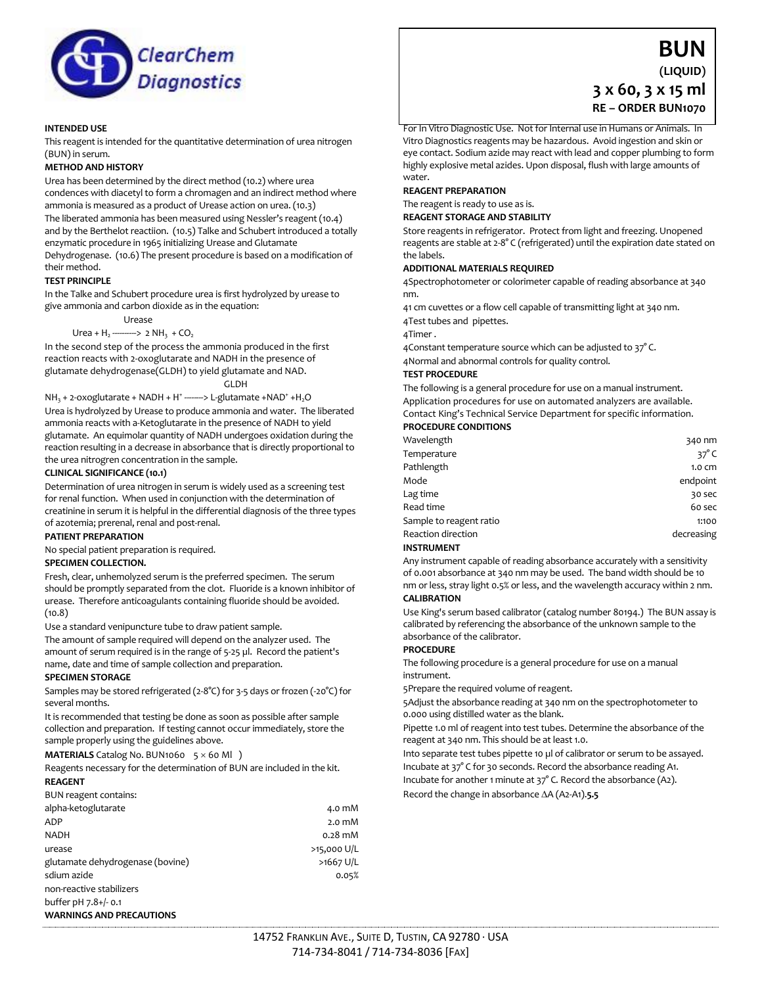

# **INTENDED USE**

This reagent is intended for the quantitative determination of urea nitrogen (BUN) in serum.

#### **METHOD AND HISTORY**

Urea has been determined by the direct method (10.2) where urea condences with diacetyl to form a chromagen and an indirect method where ammonia is measured as a product of Urease action on urea. (10.3) The liberated ammonia has been measured using Nessler's reagent (10.4) and by the Berthelot reactiion. (10.5) Talke and Schubert introduced a totally

enzymatic procedure in 1965 initializing Urease and Glutamate Dehydrogenase. (10.6) The present procedure is based on a modification of their method.

# **TEST PRINCIPLE**

In the Talke and Schubert procedure urea is first hydrolyzed by urease to give ammonia and carbon dioxide as in the equation:

Urease

Urea +  $H_2$  ---------> 2 NH<sub>3</sub> + CO<sub>2</sub>

In the second step of the process the ammonia produced in the first reaction reacts with 2-oxoglutarate and NADH in the presence of glutamate dehydrogenase(GLDH) to yield glutamate and NAD.

GLDH

 $NH<sub>3</sub> + 2$ -oxoglutarate + NADH + H<sup>+</sup> -------> L-glutamate +NAD<sup>+</sup> +H<sub>2</sub>O Urea is hydrolyzed by Urease to produce ammonia and water. The liberated ammonia reacts with a-Ketoglutarate in the presence of NADH to yield glutamate. An equimolar quantity of NADH undergoes oxidation during the reaction resulting in a decrease in absorbance that is directly proportional to the urea nitrogren concentration in the sample.

# **CLINICAL SIGNIFICANCE (10.1)**

Determination of urea nitrogen in serum is widely used as a screening test for renal function. When used in conjunction with the determination of creatinine in serum it is helpful in the differential diagnosis of the three types of azotemia; prerenal, renal and post-renal.

# **PATIENT PREPARATION**

No special patient preparation is required.

# **SPECIMEN COLLECTION.**

Fresh, clear, unhemolyzed serum is the preferred specimen. The serum should be promptly separated from the clot. Fluoride is a known inhibitor of urease. Therefore anticoagulants containing fluoride should be avoided. (10.8)

Use a standard venipuncture tube to draw patient sample.

The amount of sample required will depend on the analyzer used. The amount of serum required is in the range of 5-25 µl. Record the patient's name, date and time of sample collection and preparation.

#### **SPECIMEN STORAGE**

Samples may be stored refrigerated (2-8°C) for 3-5 days or frozen (-20°C) for several months.

It is recommended that testing be done as soon as possible after sample collection and preparation. If testing cannot occur immediately, store the sample properly using the guidelines above.

**MATERIALS** Catalog No. BUN1060  $5 \times 60$  Ml)

Reagents necessary for the determination of BUN are included in the kit. **REAGENT**

#### BUN reagent contains:

| alpha-ketoglutarate              | 4.0 mM           |
|----------------------------------|------------------|
| ADP                              | $2.0 \text{ mM}$ |
| <b>NADH</b>                      | $0.28$ mM        |
| urease                           | $>15,000$ U/L    |
| glutamate dehydrogenase (bovine) | >1667 U/L        |
| sdium azide                      | 0.05%            |
| non-reactive stabilizers         |                  |
| buffer pH 7.8+/- 0.1             |                  |

#### **WARNINGS AND PRECAUTIONS**

# **BUN**

**(LIQUID)**

# **3 x 60, 3 x 15 ml RE – ORDER BUN1070**

For In Vitro Diagnostic Use. Not for Internal use in Humans or Animals. In Vitro Diagnostics reagents may be hazardous. Avoid ingestion and skin or eye contact. Sodium azide may react with lead and copper plumbing to form highly explosive metal azides. Upon disposal, flush with large amounts of water.

#### **REAGENT PREPARATION**

The reagent is ready to use as is.

**REAGENT STORAGE AND STABILITY**

Store reagents in refrigerator. Protect from light and freezing. Unopened reagents are stable at 2-8° C (refrigerated) until the expiration date stated on the labels.

#### **ADDITIONAL MATERIALS REQUIRED**

4Spectrophotometer or colorimeter capable of reading absorbance at 340 nm.

41 cm cuvettes or a flow cell capable of transmitting light at 340 nm. 4Test tubes and pipettes.

4Timer .

4Constant temperature source which can be adjusted to 37°C.

4Normal and abnormal controls for quality control.

#### **TEST PROCEDURE**

The following is a general procedure for use on a manual instrument. Application procedures for use on automated analyzers are available. Contact King's Technical Service Department for specific information.

# **PROCEDURE CONDITIONS**

| Wavelength                | 340 nm           |
|---------------------------|------------------|
| Temperature               | 37 $^{\circ}$ C  |
| Pathlength                | $1.0 \text{ cm}$ |
| Mode                      | endpoint         |
| Lag time                  | 30 sec           |
| Read time                 | 60 sec           |
| Sample to reagent ratio   | 1:100            |
| <b>Reaction direction</b> | decreasing       |
|                           |                  |

### **INSTRUMENT**

Any instrument capable of reading absorbance accurately with a sensitivity of 0.001 absorbance at 340 nm may be used. The band width should be 10 nm or less, stray light 0.5% or less, and the wavelength accuracy within 2 nm.

# **CALIBRATION**

Use King's serum based calibrator (catalog number 80194.) The BUN assay is calibrated by referencing the absorbance of the unknown sample to the absorbance of the calibrator.

#### **PROCEDURE**

The following procedure is a general procedure for use on a manual instrument.

5Prepare the required volume of reagent.

5Adjust the absorbance reading at 340 nm on the spectrophotometer to 0.000 using distilled water as the blank.

Pipette 1.0 ml of reagent into test tubes. Determine the absorbance of the reagent at 340 nm. This should be at least 1.0.

Into separate test tubes pipette 10 µl of calibrator or serum to be assayed.

Incubate at 37° C for 30 seconds. Record the absorbance reading A1.

Incubate for another 1 minute at 37° C. Record the absorbance (A2). Record the change in absorbance  $\Delta A$  (A2-A1).5.5